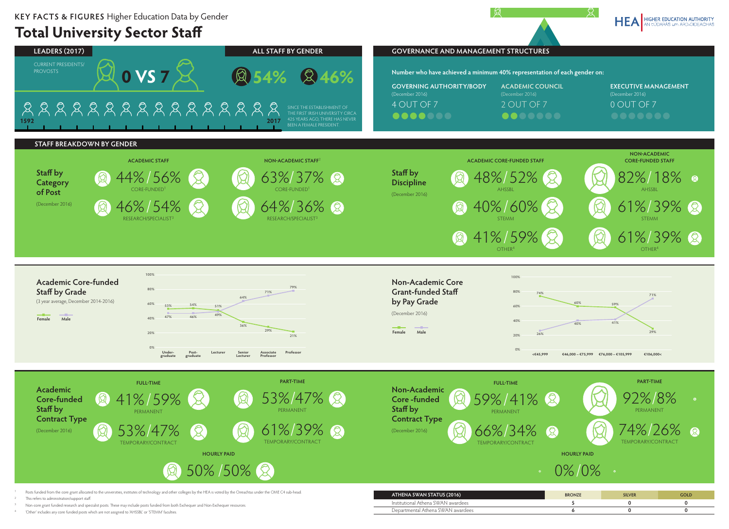## **Total University Sector Staff**



'Other' includes any core funded posts which are not assigned to 'AHSSBL' or 'STEMM' faculties.



HEA HIGHER EDUCATION AUTHORITY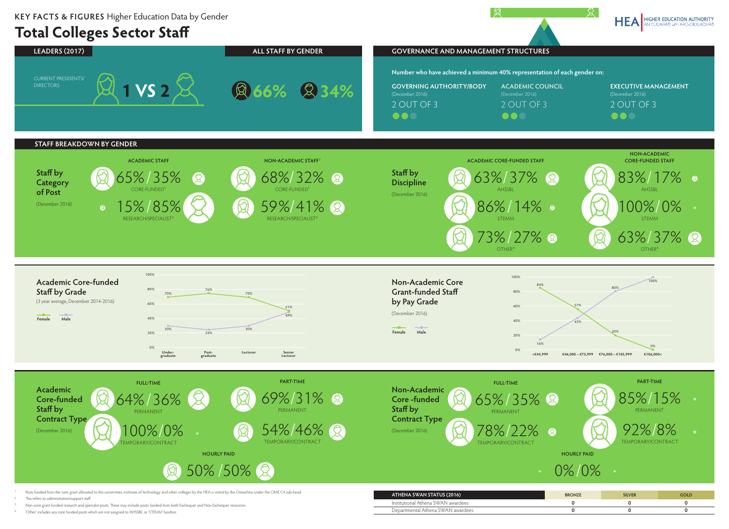## **Total Colleges Sector Staff**

<sup>4</sup> 'Other' includes any core funded posts which are not assigned to 'AHSSBL' or 'STEMM' faculties.



HEA HIGHER EDUCATION AUTHORITY